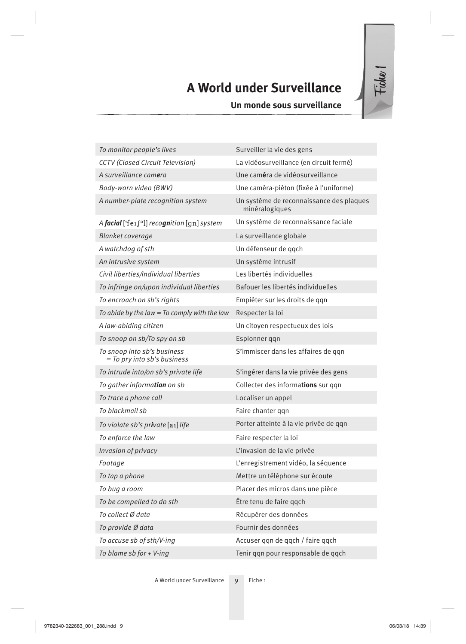# **A World under Surveillance**

**Un monde sous surveillance**

| To monitor people's lives                                  | Surveiller la vie des gens                                 |
|------------------------------------------------------------|------------------------------------------------------------|
| <b>CCTV</b> (Closed Circuit Television)                    | La vidéosurveillance (en circuit fermé)                    |
| A surveillance camera                                      | Une caméra de vidéosurveillance                            |
| Body-worn video (BWV)                                      | Une caméra-piéton (fixée à l'uniforme)                     |
| A number-plate recognition system                          | Un système de reconnaissance des plaques<br>minéralogiques |
| A facial ['fe1f <sup>o</sup> l] recognition [gn] system    | Un système de reconnaissance faciale                       |
| <b>Blanket coverage</b>                                    | La surveillance globale                                    |
| A watchdog of sth                                          | Un défenseur de ggch                                       |
| An intrusive system                                        | Un système intrusif                                        |
| Civil liberties/Individual liberties                       | Les libertés individuelles                                 |
| To infringe on/upon individual liberties                   | Bafouer les libertés individuelles                         |
| To encroach on sb's rights                                 | Empiéter sur les droits de qqn                             |
| To abide by the law $=$ To comply with the law             | Respecter la loi                                           |
| A law-abiding citizen                                      | Un citoyen respectueux des lois                            |
| To snoop on sb/To spy on sb                                | Espionner qqn                                              |
| To snoop into sb's business<br>= To pry into sb's business | S'immiscer dans les affaires de ggn                        |
| To intrude into/on sb's private life                       | S'ingérer dans la vie privée des gens                      |
| To gather information on sb                                | Collecter des informations sur ggn                         |
| To trace a phone call                                      | Localiser un appel                                         |
| To blackmail sb                                            | Faire chanter ggn                                          |
| To violate sb's private [a1] life                          | Porter atteinte à la vie privée de ggn                     |
| To enforce the law                                         | Faire respecter la loi                                     |
| Invasion of privacy                                        | L'invasion de la vie privée                                |
| Footage                                                    | L'enregistrement vidéo, la séquence                        |
| To tap a phone                                             | Mettre un téléphone sur écoute                             |
| To bug a room                                              | Placer des micros dans une pièce                           |
| To be compelled to do sth                                  | Être tenu de faire qqch                                    |
| To collect Ø data                                          | Récupérer des données                                      |
| To provide Ø data                                          | Fournir des données                                        |
| To accuse sb of sth/V-ing                                  | Accuser qqn de qqch / faire qqch                           |
| To blame sb for + V-ing                                    | Tenir qqn pour responsable de qqch                         |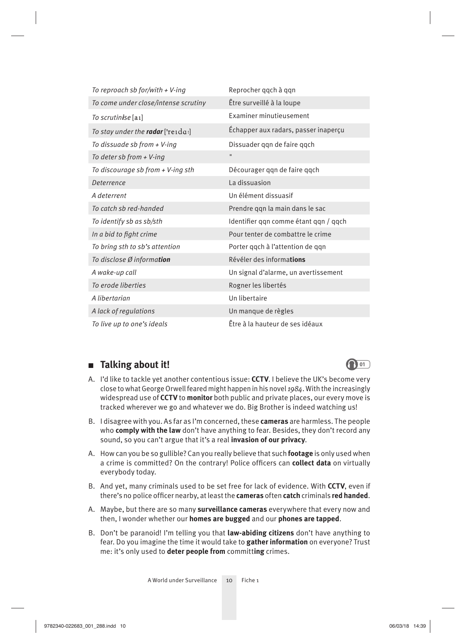| To reproach sb for/with $+V$ -ing        | Reprocher qqch à qqn                  |
|------------------------------------------|---------------------------------------|
| To come under close/intense scrutiny     | Être surveillé à la loupe             |
| To scrutinise [a1]                       | Examiner minutieusement               |
| To stay under the <b>radar</b> ['reida:] | Echapper aux radars, passer inaperçu  |
| To dissuade sb from $+$ V-ing            | Dissuader qqn de faire qqch           |
| To deter sb from $+V$ -ing               | $\mathbf{H}$                          |
| To discourage sb from + V-ing sth        | Décourager qqn de faire qqch          |
| Deterrence                               | La dissuasion                         |
| A deterrent                              | Un élément dissuasif                  |
| To catch sb red-handed                   | Prendre qqn la main dans le sac       |
| To identify sb as sb/sth                 | Identifier qqn comme étant qqn / qqch |
| In a bid to fight crime                  | Pour tenter de combattre le crime     |
| To bring sth to sb's attention           | Porter qqch à l'attention de qqn      |
| To disclose Ø information                | Révéler des informations              |
| A wake-up call                           | Un signal d'alarme, un avertissement  |
| To erode liberties                       | Rogner les libertés                   |
| A libertarian                            | Un libertaire                         |
| A lack of regulations                    | Un manque de règles                   |
| To live up to one's ideals               | Être à la hauteur de ses idéaux       |

## ■ **Talking about it! <sup>01</sup>**

- A. I'd like to tackle yet another contentious issue: **CCTV**. I believe the UK's become very close to what George Orwell feared might happen in his novel *1984*. With the increasingly widespread use of **CCTV** to **monitor** both public and private places, our every move is tracked wherever we go and whatever we do. Big Brother is indeed watching us!
- B. I disagree with you. As far as I'm concerned, these **cameras** are harmless. The people who **comply with the law** don't have anything to fear. Besides, they don't record any sound, so you can't argue that it's a real **invasion of our privacy**.
- A. How can you be so gullible? Can you really believe that such **footage** is only used when a crime is committed? On the contrary! Police officers can **collect data** on virtually everybody today.
- B. And yet, many criminals used to be set free for lack of evidence. With **CCTV**, even if there's no police officer nearby, at least the **cameras** often **catch** criminals **red handed**.
- A. Maybe, but there are so many **surveillance cameras** everywhere that every now and then, I wonder whether our **homes are bugged** and our **phones are tapped**.
- B. Don't be paranoid! I'm telling you that **law-abiding citizens** don't have anything to fear. Do you imagine the time it would take to **gather information** on everyone? Trust me: it's only used to **deter people from** committ**ing** crimes.

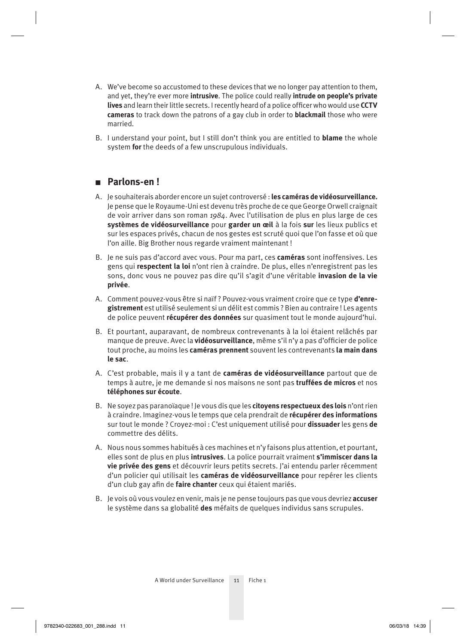- A. We've become so accustomed to these devices that we no longer pay attention to them, and yet, they're ever more **intrusive**. The police could really **intrude on people's private lives** and learn their little secrets. I recently heard of a police officer who would use **CCTV cameras** to track down the patrons of a gay club in order to **blackmail** those who were married.
- B. I understand your point, but I still don't think you are entitled to **blame** the whole system **for** the deeds of a few unscrupulous individuals.

## ■ **Parlons-en !**

- A. Je souhaiterais aborder encore un sujet controversé : **les caméras de vidéosurveillance.**  Je pense que le Royaume-Uni est devenu très proche de ce que George Orwell craignait de voir arriver dans son roman *1984*. Avec l'utilisation de plus en plus large de ces **systèmes de vidéosurveillance** pour **garder un œil** à la fois **sur** les lieux publics et sur les espaces privés, chacun de nos gestes est scruté quoi que l'on fasse et où que l'on aille. Big Brother nous regarde vraiment maintenant !
- B. Je ne suis pas d'accord avec vous. Pour ma part, ces **caméras** sont inoffensives. Les gens qui **respectent la loi** n'ont rien à craindre. De plus, elles n'enregistrent pas les sons, donc vous ne pouvez pas dire qu'il s'agit d'une véritable **invasion de la vie privée**.
- A. Comment pouvez-vous être si naïf ? Pouvez-vous vraiment croire que ce type **d'enregistrement** est utilisé seulement si un délit est commis ? Bien au contraire ! Les agents de police peuvent **récupérer des données** sur quasiment tout le monde aujourd'hui.
- B. Et pourtant, auparavant, de nombreux contrevenants à la loi étaient relâchés par manque de preuve. Avec la **vidéosurveillance**, même s'il n'y a pas d'officier de police tout proche, au moins les **caméras prennent** souvent les contrevenants **la main dans le sac**.
- A. C'est probable, mais il y a tant de **caméras de vidéosurveillance** partout que de temps à autre, je me demande si nos maisons ne sont pas **truffées de micros** et nos **téléphones sur écoute**.
- B. Ne soyez pas paranoïaque ! Je vous dis que les **citoyens respectueux des lois** n'ont rien à craindre. Imaginez-vous le temps que cela prendrait de **récupérer des informations** sur tout le monde ? Croyez-moi : C'est uniquement utilisé pour **dissuader** les gens **de**  commettre des délits.
- A. Nous nous sommes habitués à ces machines et n'y faisons plus attention, et pourtant, elles sont de plus en plus **intrusives**. La police pourrait vraiment **s'immiscer dans la vie privée des gens** et découvrir leurs petits secrets. J'ai entendu parler récemment d'un policier qui utilisait les **caméras de vidéosurveillance** pour repérer les clients d'un club gay afin de **faire chanter** ceux qui étaient mariés.
- B. Je vois où vous voulez en venir, mais je ne pense toujours pas que vous devriez **accuser** le système dans sa globalité **des** méfaits de quelques individus sans scrupules.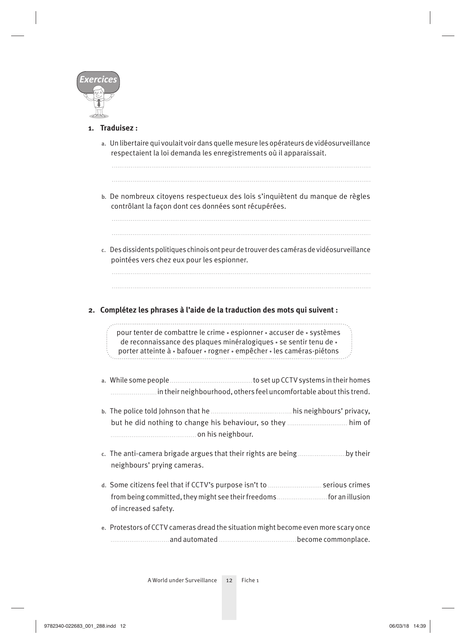

### **1. Traduisez :**

**a.** Un libertaire qui voulait voir dans quelle mesure les opérateurs de vidéosurveillance respectaient la loi demanda les enregistrements où il apparaissait.

**b.** De nombreux citoyens respectueux des lois s'inquiètent du manque de règles contrôlant la façon dont ces données sont récupérées.

**c.** Des dissidents politiques chinois ont peur de trouver des caméras de vidéosurveillance pointées vers chez eux pour les espionner.

**2. Complétez les phrases à l'aide de la traduction des mots qui suivent :** 

pour tenter de combattre le crime • espionner • accuser de • systèmes de reconnaissance des plaques minéralogiques • se sentir tenu de • porter atteinte à • bafouer • rogner • empêcher • les caméras-piétons

- a. While some people **constant of the set up CCTV** systems in their homes in their neighbourhood, others feel uncomfortable about this trend.
- **b.** The police told Johnson that he **high-disk** is neighbours' privacy, but he did nothing to change his behaviour, so they *maching with the did nothing to* on his neighbour.
- **c.** The anti-camera brigade argues that their rights are being by their neighbours' prying cameras.
- d. Some citizens feel that if CCTV's purpose isn't to *..........................*...serious crimes from being committed, they might see their freedoms for an illusion of increased safety.
- **e.** Protestors of CCTV cameras dread the situation might become even more scary once decome commonplace.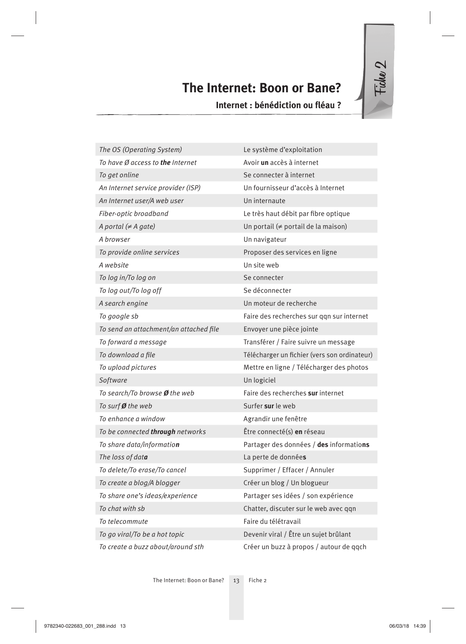## **The Internet: Boon or Bane?**

**Internet : bénédiction ou fléau ?** 

| The OS (Operating System)               | Le système d'exploitation                    |
|-----------------------------------------|----------------------------------------------|
| To have Ø access to <b>the</b> Internet | Avoir un accès à internet                    |
| To get online                           | Se connecter à internet                      |
| An Internet service provider (ISP)      | Un fournisseur d'accès à Internet            |
| An Internet user/A web user             | Un internaute                                |
| Fiber-optic broadband                   | Le très haut débit par fibre optique         |
| A portal $(\neq A$ gate)                | Un portail (≠ portail de la maison)          |
| A browser                               | Un navigateur                                |
| To provide online services              | Proposer des services en ligne               |
| A website                               | Un site web                                  |
| To log in/To log on                     | Se connecter                                 |
| To log out/To log off                   | Se déconnecter                               |
| A search engine                         | Un moteur de recherche                       |
| To google sb                            | Faire des recherches sur qqn sur internet    |
| To send an attachment/an attached file  | Envoyer une pièce jointe                     |
| To forward a message                    | Transférer / Faire suivre un message         |
| To download a file                      | Télécharger un fichier (vers son ordinateur) |
| To upload pictures                      | Mettre en ligne / Télécharger des photos     |
| Software                                | Un logiciel                                  |
| To search/To browse Ø the web           | Faire des recherches sur internet            |
| To surf Ø the web                       | Surfer sur le web                            |
| To enhance a window                     | Agrandir une fenêtre                         |
| To be connected <b>through</b> networks | Être connecté(s) en réseau                   |
| To share data/informatio <b>n</b>       | Partager des données / des informations      |
| The loss of dat <b>a</b>                | La perte de données                          |
| To delete/To erase/To cancel            | Supprimer / Effacer / Annuler                |
| To create a blog/A blogger              | Créer un blog / Un blogueur                  |
| To share one's ideas/experience         | Partager ses idées / son expérience          |
| To chat with sb                         | Chatter, discuter sur le web avec qqn        |
| To telecommute                          | Faire du télétravail                         |
| To go viral/To be a hot topic           | Devenir viral / Être un sujet brûlant        |
| To create a buzz about/around sth       | Créer un buzz à propos / autour de qqch      |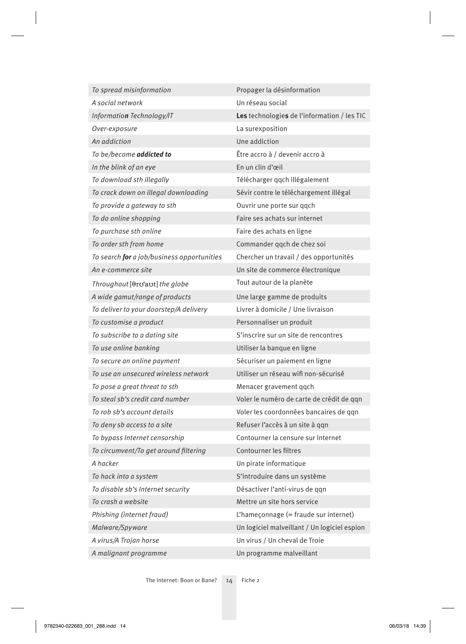| To spread misinformation                   | Propager la désinformation                   |
|--------------------------------------------|----------------------------------------------|
| A social network                           | Un réseau social                             |
| Information Technology/IT                  | Les technologies de l'information / les TIC  |
| Over-exposure                              | La surexposition                             |
| An addiction                               | Une addiction                                |
| To be/become addicted to                   | Être accro à / devenir accro à               |
| In the blink of an eye                     | En un clin d'œil                             |
| To download sth illegally                  | Télécharger qqch illégalement                |
| To crack down on illegal downloading       | Sévir contre le téléchargement illégal       |
| To provide a gateway to sth                | Ouvrir une porte sur ggch                    |
| To do online shopping                      | Faire ses achats sur internet                |
| To purchase sth online                     | Faire des achats en ligne                    |
| To order sth from home                     | Commander qqch de chez soi                   |
| To search for a job/business opportunities | Chercher un travail / des opportunités       |
| An e-commerce site                         | Un site de commerce électronique             |
| Throughout $[0rv2avt]the g lobe$           | Tout autour de la planète                    |
| A wide gamut/range of products             | Une large gamme de produits                  |
| To deliver to your doorstep/A delivery     | Livrer à domicile / Une livraison            |
| To customise a product                     | Personnaliser un produit                     |
| To subscribe to a dating site              | S'inscrire sur un site de rencontres         |
| To use online banking                      | Utiliser la banque en ligne                  |
| To secure an online payment                | Sécuriser un paiement en ligne               |
| To use an unsecured wireless network       | Utiliser un réseau wifi non-sécurisé         |
| To pose a great threat to sth              | Menacer gravement qqch                       |
| To steal sb's credit card number           | Voler le numéro de carte de crédit de qqn    |
| To rob sb's account details                | Voler les coordonnées bancaires de qqn       |
| To deny sb access to a site                | Refuser l'accès à un site à qqn              |
| To bypass Internet censorship              | Contourner la censure sur Internet           |
| To circumvent/To get around filtering      | Contourner les filtres                       |
| A hacker                                   | Un pirate informatique                       |
| To hack into a system                      | S'introduire dans un système                 |
| To disable sb's Internet security          | Désactiver l'anti-virus de qqn               |
| To crash a website                         | Mettre un site hors service                  |
| Phishing (internet fraud)                  | L'hameçonnage (= fraude sur internet)        |
| Malware/Spyware                            | Un logiciel malveillant / Un logiciel espion |
| A virus/A Trojan horse                     | Un virus / Un cheval de Troie                |
| A malignant programme                      | Un programme malveillant                     |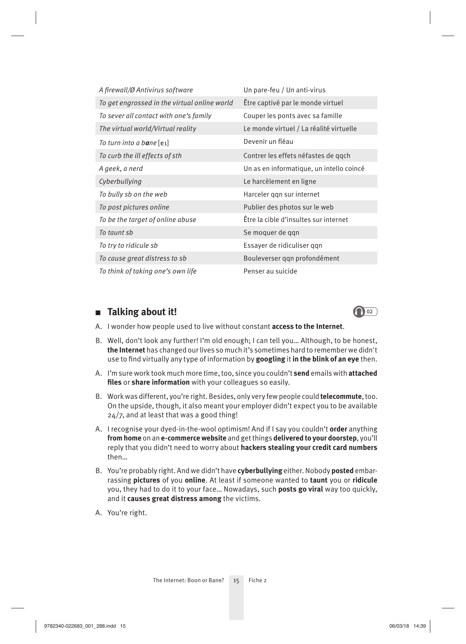| A firewall/Ø Antivirus software              | Un pare-feu / Un anti-virus              |
|----------------------------------------------|------------------------------------------|
| To get engrossed in the virtual online world | Être captivé par le monde virtuel        |
| To sever all contact with one's family       | Couper les ponts avec sa famille         |
| The virtual world/Virtual reality            | Le monde virtuel / La réalité virtuelle  |
| To turn into a b <b>a</b> ne [e1]            | Devenir un fléau                         |
| To curb the ill effects of sth               | Contrer les effets néfastes de qqch      |
| A geek, a nerd                               | Un as en informatique, un intello coincé |
| Cyberbullying                                | Le harcèlement en ligne                  |
| To bully sb on the web                       | Harceler ggn sur internet                |
| To post pictures online                      | Publier des photos sur le web            |
| To be the target of online abuse             | Être la cible d'insultes sur internet    |
| To taunt sb                                  | Se moquer de qqn                         |
| To try to ridicule sb                        | Essayer de ridiculiser ggn               |
| To cause great distress to sb                | Bouleverser qqn profondément             |
| To think of taking one's own life            | Penser au suicide                        |

### ■ Talking about it! 2022



- A. I wonder how people used to live without constant **access to the Internet**.
- B. Well, don't look any further! I'm old enough; I can tell you… Although, to be honest, **the Internet** has changed our lives so much it's sometimes hard to remember we didn't use to find virtually any type of information by googling it in the blink of an eye then.
- A. I'm sure work took much more time, too, since you couldn't **send** emails with **attached**  files or share information with your colleagues so easily.
- B. Work was different, you're right. Besides, only very few people could **telecommute**, too. On the upside, though, it also meant your employer didn't expect you to be available 24/7, and at least that was a good thing!
- A. I recognise your dyed-in-the-wool optimism! And if I say you couldn't **order** anything **from home** on an **e-commerce website** and get things **delivered to your doorstep**, you'll reply that you didn't need to worry about **hackers stealing your credit card numbers** then…
- B. You're probably right. And we didn't have **cyberbullying** either. Nobody **posted** embarrassing **pictures** of you **online**. At least if someone wanted to **taunt** you or **ridicule** you, they had to do it to your face… Nowadays, such **posts go viral** way too quickly, and it **causes great distress among** the victims.
- A. You're right.